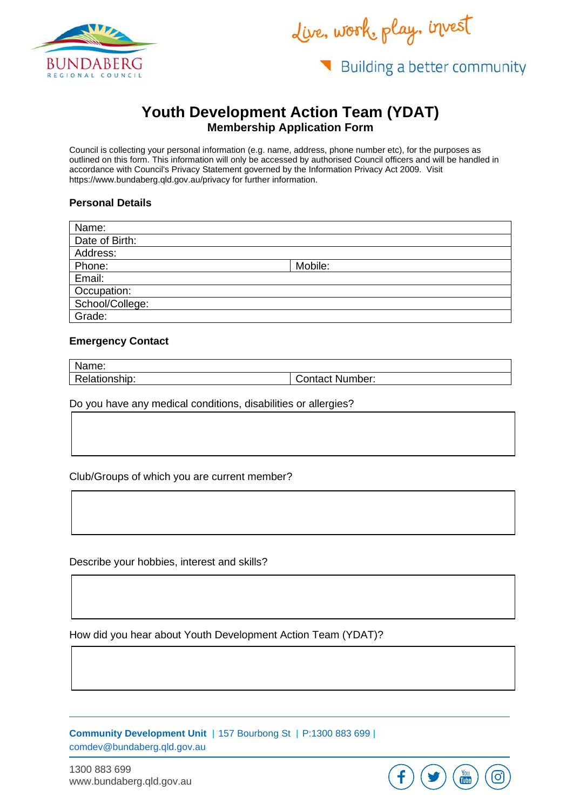

dive, work play, invest

Building a better community

# **Youth Development Action Team (YDAT) Membership Application Form**

Council is collecting your personal information (e.g. name, address, phone number etc), for the purposes as outlined on this form. This information will only be accessed by authorised Council officers and will be handled in accordance with Council's Privacy Statement governed by the Information Privacy Act 2009. Visit https://www.bundaberg.qld.gov.au/privacy for further information.

#### **Personal Details**

| Name:           |         |
|-----------------|---------|
| Date of Birth:  |         |
| Address:        |         |
| Phone:          | Mobile: |
| Email:          |         |
| Occupation:     |         |
| School/College: |         |
| Grade:          |         |

# **Emergency Contact**

| Name:         |                 |
|---------------|-----------------|
| Relationship: | Contact Number: |

Do you have any medical conditions, disabilities or allergies?

Club/Groups of which you are current member?

Describe your hobbies, interest and skills?

How did you hear about Youth Development Action Team (YDAT)?

**Community Development Unit** l 157 Bourbong St l P:1300 883 699 l [comdev@bundaberg.qld.gov.au](mailto:comdev@bundaberg.qld.gov.au)